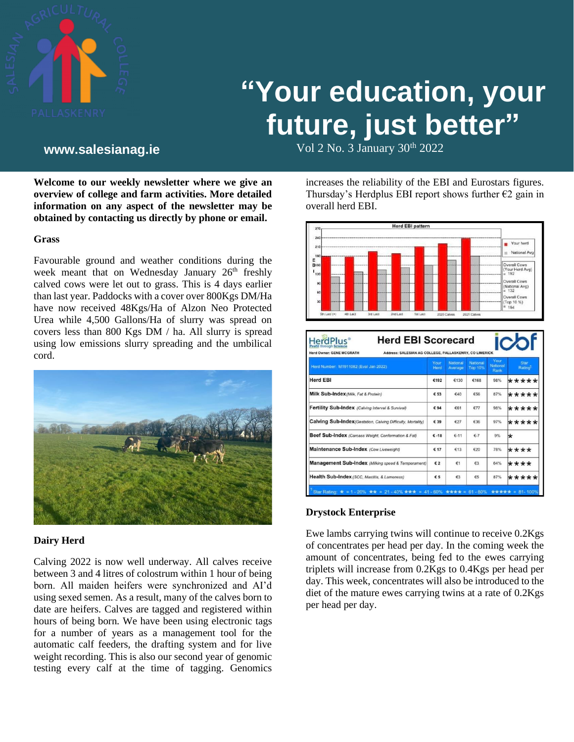

# **"Your education, your future, just better"**

Vol 2 No. 3 January 30th **www.salesianag.ie** 2022

**Welcome to our weekly newsletter where we give an overview of college and farm activities. More detailed information on any aspect of the newsletter may be obtained by contacting us directly by phone or email.**

#### **Grass**

Favourable ground and weather conditions during the week meant that on Wednesday January 26<sup>th</sup> freshly calved cows were let out to grass. This is 4 days earlier than last year. Paddocks with a cover over 800Kgs DM/Ha have now received 48Kgs/Ha of Alzon Neo Protected Urea while 4,500 Gallons/Ha of slurry was spread on covers less than 800 Kgs DM / ha. All slurry is spread using low emissions slurry spreading and the umbilical cord.



#### **Dairy Herd**

Calving 2022 is now well underway. All calves receive between 3 and 4 litres of colostrum within 1 hour of being born. All maiden heifers were synchronized and AI'd using sexed semen. As a result, many of the calves born to date are heifers. Calves are tagged and registered within hours of being born. We have been using electronic tags for a number of years as a management tool for the automatic calf feeders, the drafting system and for live weight recording. This is also our second year of genomic testing every calf at the time of tagging. Genomics

increases the reliability of the EBI and Eurostars figures. Thursday's Herdplus EBI report shows further  $\epsilon$ 2 gain in overall herd EBI.



| <b>Herd Owner: GENE MCGRATH</b><br>Address: SALESIAN AG COLLEGE, PALLASKENRY, CO LIMERICK |              |                            |                     |                          |                             |
|-------------------------------------------------------------------------------------------|--------------|----------------------------|---------------------|--------------------------|-----------------------------|
| Herd Number: M1911082 (Eval Jan 2022)                                                     | Your<br>Herd | <b>National</b><br>Average | National<br>Top 10% | Your<br>National<br>Rank | Star<br>Rating <sup>1</sup> |
| <b>Herd EBI</b>                                                                           | €192         | €130                       | €168                | 98%                      | *****                       |
| Milk Sub-Index (Milk, Fat & Protein)                                                      | € 53         | 640                        | 656                 | 87%                      | *****                       |
| Fertility Sub-Index (Calving Interval & Survival)                                         | €94          | €61                        | €77                 | 98%                      | *****                       |
| Calving Sub-Index (Gestation, Calving Difficulty, Mortality)                              | € 39         | €27                        | €36                 | 97%                      | *****                       |
| Beef Sub-Index (Carcass Weight, Conformation & Fat)                                       | $E - 18$     | $E-11$                     | $E-7$               | 9%                       | ×                           |
| Maintenance Sub-Index (Cow Liveweight)                                                    | € 17         | €13                        | €20                 | 78%                      | ****                        |
| Management Sub-Index (Milking speed & Temperament)                                        | € 2          | €1                         | €3                  | 64%                      | ****                        |
| Health Sub-Index (SCC, Mastitis, & Lameness)                                              | € 5          | €3                         | 65                  | 87%                      | *****                       |

#### **Drystock Enterprise**

Ewe lambs carrying twins will continue to receive 0.2Kgs of concentrates per head per day. In the coming week the amount of concentrates, being fed to the ewes carrying triplets will increase from 0.2Kgs to 0.4Kgs per head per day. This week, concentrates will also be introduced to the diet of the mature ewes carrying twins at a rate of 0.2Kgs per head per day.